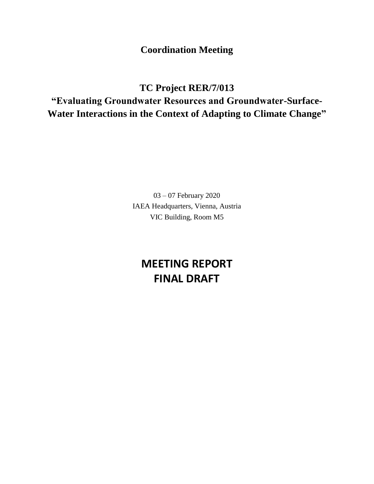**Coordination Meeting**

**TC Project RER/7/013 "Evaluating Groundwater Resources and Groundwater-Surface-Water Interactions in the Context of Adapting to Climate Change"**

> 03 – 07 February 2020 IAEA Headquarters, Vienna, Austria VIC Building, Room M5

## **MEETING REPORT FINAL DRAFT**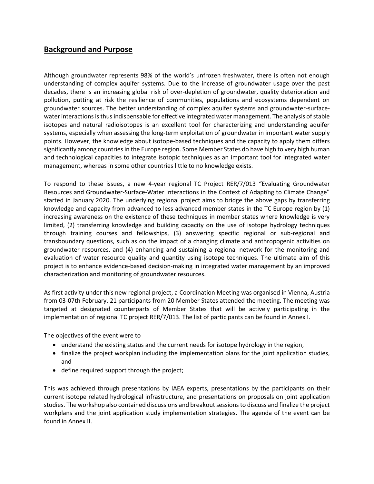## **Background and Purpose**

Although groundwater represents 98% of the world's unfrozen freshwater, there is often not enough understanding of complex aquifer systems. Due to the increase of groundwater usage over the past decades, there is an increasing global risk of over-depletion of groundwater, quality deterioration and pollution, putting at risk the resilience of communities, populations and ecosystems dependent on groundwater sources. The better understanding of complex aquifer systems and groundwater-surfacewater interactions is thus indispensable for effective integrated water management. The analysis of stable isotopes and natural radioisotopes is an excellent tool for characterizing and understanding aquifer systems, especially when assessing the long-term exploitation of groundwater in important water supply points. However, the knowledge about isotope-based techniques and the capacity to apply them differs significantly among countries in the Europe region. Some Member States do have high to very high human and technological capacities to integrate isotopic techniques as an important tool for integrated water management, whereas in some other countries little to no knowledge exists.

To respond to these issues, a new 4-year regional TC Project RER/7/013 "Evaluating Groundwater Resources and Groundwater-Surface-Water Interactions in the Context of Adapting to Climate Change" started in January 2020. The underlying regional project aims to bridge the above gaps by transferring knowledge and capacity from advanced to less advanced member states in the TC Europe region by (1) increasing awareness on the existence of these techniques in member states where knowledge is very limited, (2) transferring knowledge and building capacity on the use of isotope hydrology techniques through training courses and fellowships, (3) answering specific regional or sub-regional and transboundary questions, such as on the impact of a changing climate and anthropogenic activities on groundwater resources, and (4) enhancing and sustaining a regional network for the monitoring and evaluation of water resource quality and quantity using isotope techniques. The ultimate aim of this project is to enhance evidence-based decision-making in integrated water management by an improved characterization and monitoring of groundwater resources.

As first activity under this new regional project, a Coordination Meeting was organised in Vienna, Austria from 03-07th February. 21 participants from 20 Member States attended the meeting. The meeting was targeted at designated counterparts of Member States that will be actively participating in the implementation of regional TC project RER/7/013. The list of participants can be found in Annex I.

The objectives of the event were to

- understand the existing status and the current needs for isotope hydrology in the region,
- finalize the project workplan including the implementation plans for the joint application studies, and
- define required support through the project;

This was achieved through presentations by IAEA experts, presentations by the participants on their current isotope related hydrological infrastructure, and presentations on proposals on joint application studies. The workshop also contained discussions and breakout sessions to discuss and finalize the project workplans and the joint application study implementation strategies. The agenda of the event can be found in Annex II.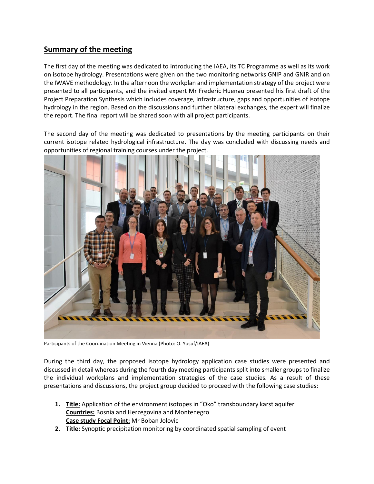## **Summary of the meeting**

The first day of the meeting was dedicated to introducing the IAEA, its TC Programme as well as its work on isotope hydrology. Presentations were given on the two monitoring networks GNIP and GNIR and on the IWAVE methodology. In the afternoon the workplan and implementation strategy of the project were presented to all participants, and the invited expert Mr Frederic Huenau presented his first draft of the Project Preparation Synthesis which includes coverage, infrastructure, gaps and opportunities of isotope hydrology in the region. Based on the discussions and further bilateral exchanges, the expert will finalize the report. The final report will be shared soon with all project participants.

The second day of the meeting was dedicated to presentations by the meeting participants on their current isotope related hydrological infrastructure. The day was concluded with discussing needs and opportunities of regional training courses under the project.



Participants of the Coordination Meeting in Vienna (Photo: O. Yusuf/IAEA)

During the third day, the proposed isotope hydrology application case studies were presented and discussed in detail whereas during the fourth day meeting participants split into smaller groups to finalize the individual workplans and implementation strategies of the case studies. As a result of these presentations and discussions, the project group decided to proceed with the following case studies:

- **1. Title:** Application of the environment isotopes in "Oko" transboundary karst aquifer **Countries:** Bosnia and Herzegovina and Montenegro **Case study Focal Point:** Mr Boban Jolovic
- **2. Title:** Synoptic precipitation monitoring by coordinated spatial sampling of event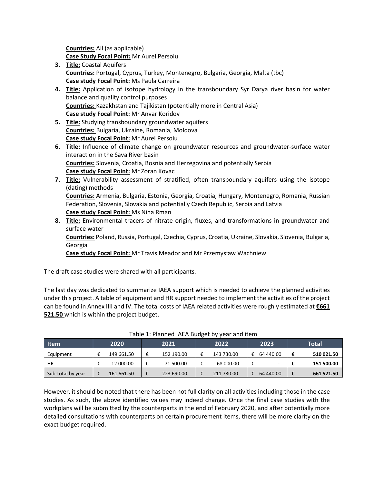**Countries:** All (as applicable)

**Case Study Focal Point:** Mr Aurel Persoiu

- **3. Title:** Coastal Aquifers **Countries:** Portugal, Cyprus, Turkey, Montenegro, Bulgaria, Georgia, Malta (tbc) **Case study Focal Point:** Ms Paula Carreira
- **4. Title:** Application of isotope hydrology in the transboundary Syr Darya river basin for water balance and quality control purposes **Countries:** Kazakhstan and Tajikistan (potentially more in Central Asia) **Case study Focal Point:** Mr Anvar Koridov
- **5. Title:** Studying transboundary groundwater aquifers **Countries:** Bulgaria, Ukraine, Romania, Moldova **Case study Focal Point:** Mr Aurel Persoiu
- **6. Title:** Influence of climate change on groundwater resources and groundwater-surface water interaction in the Sava River basin **Countries:** Slovenia, Croatia, Bosnia and Herzegovina and potentially Serbia **Case study Focal Point:** Mr Zoran Kovac
- **7. Title:** Vulnerability assessment of stratified, often transboundary aquifers using the isotope (dating) methods **Countries:** Armenia, Bulgaria, Estonia, Georgia, Croatia, Hungary, Montenegro, Romania, Russian Federation, Slovenia, Slovakia and potentially Czech Republic, Serbia and Latvia **Case study Focal Point:** Ms Nina Rman
- **8. Title:** Environmental tracers of nitrate origin, fluxes, and transformations in groundwater and surface water

**Countries:** Poland, Russia, Portugal, Czechia, Cyprus, Croatia, Ukraine, Slovakia, Slovenia, Bulgaria, Georgia

**Case study Focal Point:** Mr Travis Meador and Mr Przemysław Wachniew

The draft case studies were shared with all participants.

The last day was dedicated to summarize IAEA support which is needed to achieve the planned activities under this project. A table of equipment and HR support needed to implement the activities of the project can be found in Annex IIII and IV. The total costs of IAEA related activities were roughly estimated at **€661 521.50** which is within the project budget.

| l Item            |  | 2020       |   | 2021       |  | 2022       |   | 2023      | <b>Total</b> |            |  |  |  |  |
|-------------------|--|------------|---|------------|--|------------|---|-----------|--------------|------------|--|--|--|--|
| Equipment         |  | 149 661.50 | € | 152 190.00 |  | 143 730.00 |   | 64 440.00 | €            | 510 021.50 |  |  |  |  |
| <b>HR</b>         |  | 12 000.00  | € | 71 500.00  |  | 68 000.00  | € |           |              | 151 500.00 |  |  |  |  |
| Sub-total by year |  | 161 661.50 | € | 223 690.00 |  | 211 730.00 |   | 64 440.00 | €            | 661 521.50 |  |  |  |  |

| Table 1: Planned IAEA Budget by year and item |  |  |  |  |  |
|-----------------------------------------------|--|--|--|--|--|
|-----------------------------------------------|--|--|--|--|--|

However, it should be noted that there has been not full clarity on all activities including those in the case studies. As such, the above identified values may indeed change. Once the final case studies with the workplans will be submitted by the counterparts in the end of February 2020, and after potentially more detailed consultations with counterparts on certain procurement items, there will be more clarity on the exact budget required.